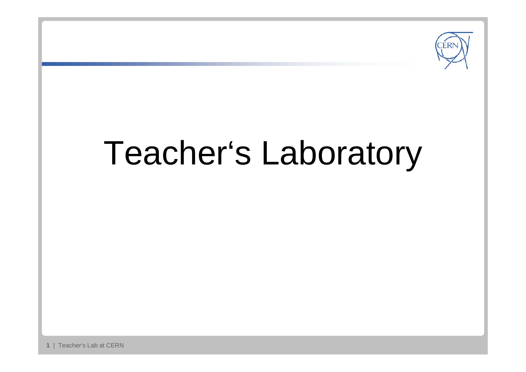

# Teacher's Laboratory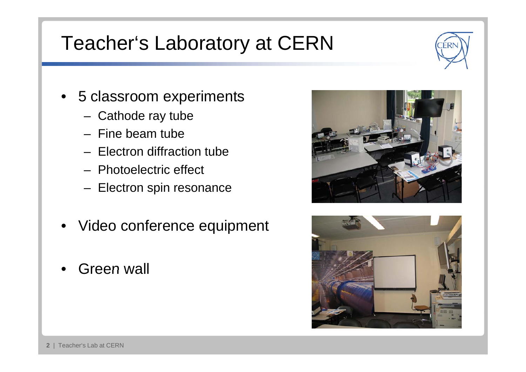## Teacher's Laboratory at CERN



- 5 classroom experiments
	- Cathode ray tube
	- Fine beam tube
	- Electron diffraction tube
	- Photoelectric effect
	- Electron spin resonance
- Video conference equipment
- •Green wall



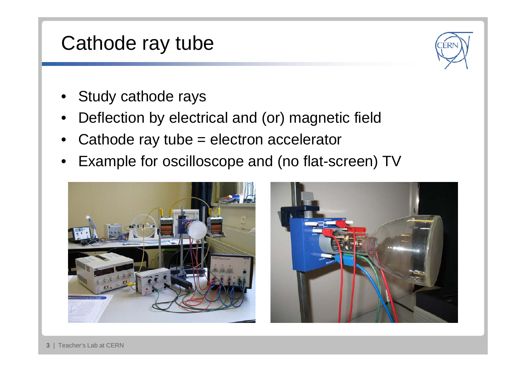#### Cathode ray tube

- Study cathode rays
- $\bullet$ Deflection by electrical and (or) magnetic field
- Cathode ray tube = electron accelerator
- Example for oscilloscope and (no flat-screen) TV

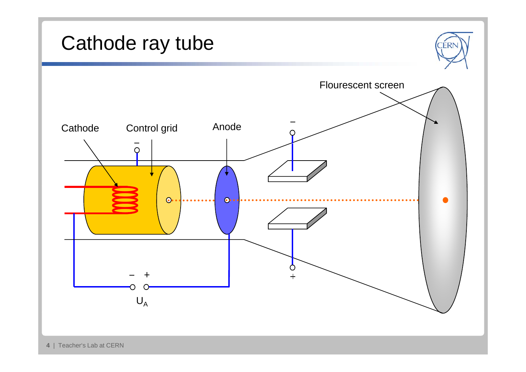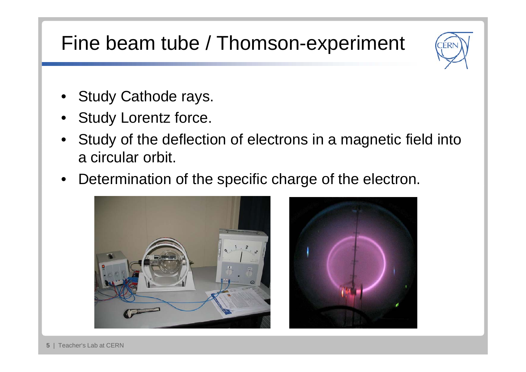## Fine beam tube / Thomson-experiment



- Study Cathode rays.
- Study Lorentz force.
- Study of the deflection of electrons in <sup>a</sup> magnetic field into a circular orbit.
- Determination of the specific charge of the electron.



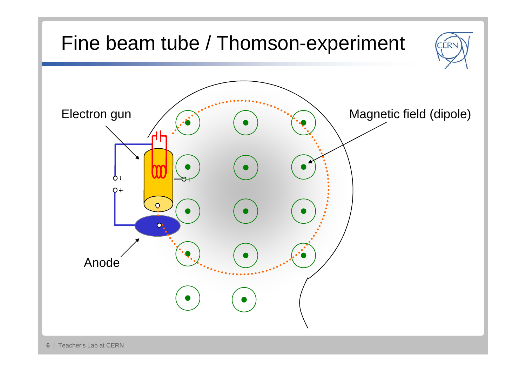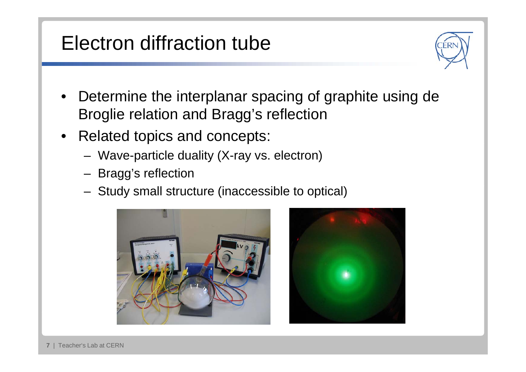## Electron diffraction tube



- Determine the interplanar spacing of graphite using de Broglie relation and Bragg's reflection
- Related topics and concepts:
	- Wave-particle duality (X-ray vs. electron)
	- Bragg's reflection
	- Study small structure (inaccessible to optical)



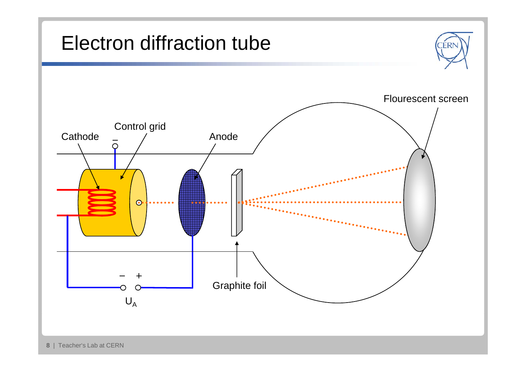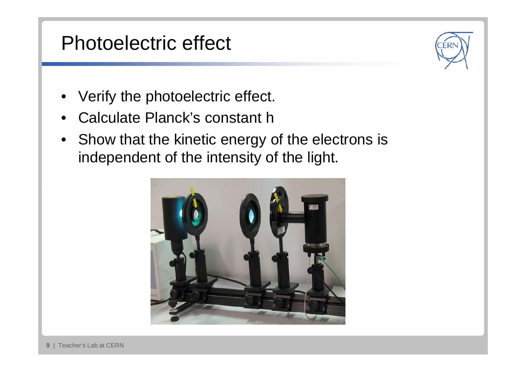#### Photoelectric effect

- •Verify the photoelectric effect.
- $\bullet$ Calculate Planck's constant h
- Show that the kinetic energy of the electrons is independent of the intensity of the light.



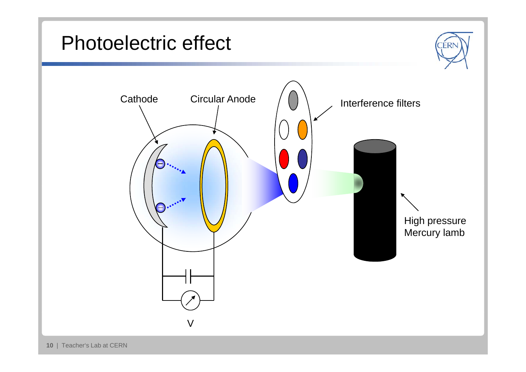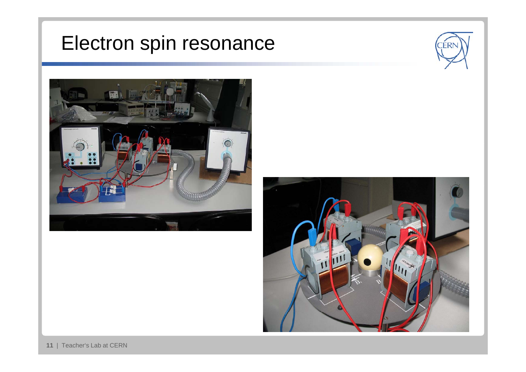## Electron spin resonance